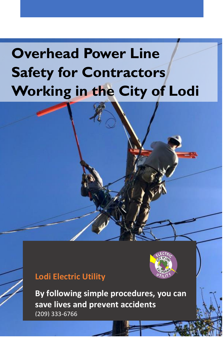# **Overhead Power Line Safety for Contractors Working in the City of Lodi**

# **Lodi Electric Utility**



Lodi Electric Utility (2003) 368-5735 **120-5735 120-5735 120-5735 120-5735 120-57** 



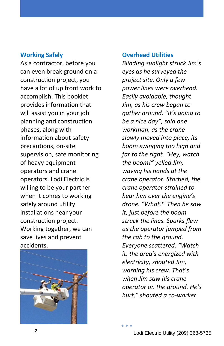#### **Working Safely**

As a contractor, before you can even break ground on a construction project, you have a lot of up front work to accomplish. This booklet provides information that will assist you in your job planning and construction phases, along with information about safety precautions, on-site supervision, safe monitoring of heavy equipment operators and crane operators. Lodi Electric is willing to be your partner when it comes to working safely around utility installations near your construction project. Working together, we can save lives and prevent accidents.



#### **Overhead Utilities**

*Blinding sunlight struck Jim's eyes as he surveyed the project site. Only a few power lines were overhead. Easily avoidable, thought Jim, as his crew began to gather around. "It's going to be a nice day", said one workman, as the crane slowly moved into place, its boom swinging too high and far to the right. "Hey, watch the boom!" yelled Jim, waving his hands at the crane operator. Startled, the crane operator strained to hear him over the engine's drone. "What?" Then he saw it, just before the boom struck the lines. Sparks flew as the operator jumped from the cab to the ground. Everyone scattered. "Watch it, the area's energized with electricity, shouted Jim, warning his crew. That's when Jim saw his crane operator on the ground. He's hurt," shouted a co-worker.*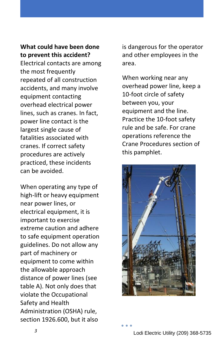## **What could have been done to prevent this accident?**

Electrical contacts are among the most frequently repeated of all construction accidents, and many involve equipment contacting overhead electrical power lines, such as cranes. In fact, power line contact is the largest single cause of fatalities associated with cranes. If correct safety procedures are actively practiced, these incidents can be avoided.

When operating any type of high-lift or heavy equipment near power lines, or electrical equipment, it is important to exercise extreme caution and adhere to safe equipment operation guidelines. Do not allow any part of machinery or equipment to come within the allowable approach distance of power lines (see table A). Not only does that violate the Occupational Safety and Health Administration (OSHA) rule, section 1926.600, but it also

is dangerous for the operator and other employees in the area.

When working near any overhead power line, keep a 10-foot circle of safety between you, your equipment and the line. Practice the 10-foot safety rule and be safe. For crane operations reference the Crane Procedures section of this pamphlet.

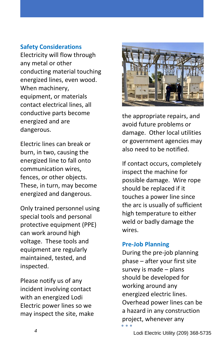## **Safety Considerations**

Electricity will flow through any metal or other conducting material touching energized lines, even wood. When machinery, equipment, or materials contact electrical lines, all conductive parts become energized and are dangerous.

Electric lines can break or burn, in two, causing the energized line to fall onto communication wires, fences, or other objects. These, in turn, may become energized and dangerous.

Only trained personnel using special tools and personal protective equipment (PPE) can work around high voltage. These tools and equipment are regularly maintained, tested, and inspected.

Please notify us of any incident involving contact with an energized Lodi Electric power lines so we may inspect the site, make



the appropriate repairs, and avoid future problems or damage. Other local utilities or government agencies may also need to be notified.

If contact occurs, completely inspect the machine for possible damage. Wire rope should be replaced if it touches a power line since the arc is usually of sufficient high temperature to either weld or badly damage the wires.

## **Pre-Job Planning**

During the pre-job planning phase – after your first site survey is made – plans should be developed for working around any energized electric lines. Overhead power lines can be a hazard in any construction project, whenever any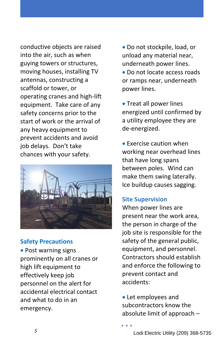conductive objects are raised into the air, such as when guying towers or structures, moving houses, installing TV antennas, constructing a scaffold or tower, or operating cranes and high-lift equipment. Take care of any safety concerns prior to the start of work or the arrival of any heavy equipment to prevent accidents and avoid job delays. Don't take chances with your safety.



## **Safety Precautions**

• Post warning signs prominently on all cranes or high lift equipment to effectively keep job personnel on the alert for accidental electrical contact and what to do in an emergency.

 Do not stockpile, load, or unload any material near, underneath power lines.

 Do not locate access roads or ramps near, underneath power lines.

• Treat all power lines energized until confirmed by a utility employee they are de-energized.

**• Exercise caution when** working near overhead lines that have long spans between poles. Wind can make them swing laterally. Ice buildup causes sagging.

## **Site Supervision**

When power lines are present near the work area, the person in charge of the job site is responsible for the safety of the general public, equipment, and personnel. Contractors should establish and enforce the following to prevent contact and accidents:

 Let employees and subcontractors know the absolute limit of approach –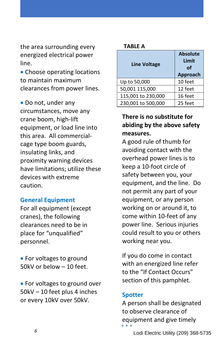the area surrounding every energized electrical power line.

• Choose operating locations to maintain maximum clearances from power lines.

• Do not, under any circumstances, move any crane boom, high-lift equipment, or load line into this area. All commercialcage type boom guards, insulating links, and proximity warning devices have limitations; utilize these devices with extreme caution.

#### **General Equipment**

For all equipment (except cranes), the following clearances need to be in place for "unqualified" personnel.

• For voltages to ground 50kV or below – 10 feet.

• For voltages to ground over 50kV – 10 feet plus 4 inches or every 10kV over 50kV.

#### **TABLE A**

| <b>Line Voltage</b> | <b>Absolute</b><br>Limit<br>Ωf<br>Approach |
|---------------------|--------------------------------------------|
| Up to 50,000        | 10 feet                                    |
| 50,001 115,000      | 12 feet                                    |
| 115,001 to 230,000  | 16 feet                                    |
| 230,001 to 500,000  | 25 feet                                    |

## **There is no substitute for abiding by the above safety measures.**

A good rule of thumb for avoiding contact with the overhead power lines is to keep a 10-foot circle of safety between you, your equipment, and the line. Do not permit any part of your equipment, or any person working on or around it, to come within 10-feet of any power line. Serious injuries could result to you or others working near you.

If you do come in contact with an energized line refer to the "If Contact Occurs" section of this pamphlet.

#### **Spotter**

A person shall be designated to observe clearance of equipment and give timely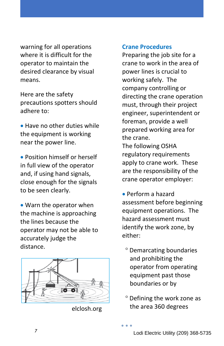warning for all operations where it is difficult for the operator to maintain the desired clearance by visual means.

Here are the safety precautions spotters should adhere to:

• Have no other duties while the equipment is working near the power line.

 Position himself or herself in full view of the operator and, if using hand signals, close enough for the signals to be seen clearly.

 Warn the operator when the machine is approaching the lines because the operator may not be able to accurately judge the distance.



elclosh.org

#### **Crane Procedures**

Preparing the job site for a crane to work in the area of power lines is crucial to working safely. The company controlling or directing the crane operation must, through their project engineer, superintendent or foreman, provide a well prepared working area for the crane. The following OSHA regulatory requirements apply to crane work. These are the responsibility of the crane operator employer:

 Perform a hazard assessment before beginning equipment operations. The hazard assessment must identify the work zone, by either:

- Demarcating boundaries and prohibiting the operator from operating equipment past those boundaries or by
- Defining the work zone as the area 360 degrees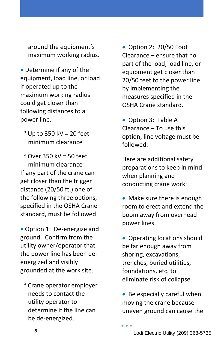around the equipment's maximum working radius.

- Determine if any of the equipment, load line, or load if operated up to the maximum working radius could get closer than following distances to a power line.
	- $^{\circ}$  Up to 350 kV = 20 feet minimum clearance

 $^{\circ}$  Over 350 kV = 50 feet minimum clearance If any part of the crane can get closer than the trigger distance (20/50 ft.) one of the following three options, specified in the OSHA Crane standard, must be followed:

 Option 1: De-energize and ground. Confirm from the utility owner/operator that the power line has been deenergized and visibly grounded at the work site.

 Crane operator employer needs to contact the utility operator to determine if the line can be de-energized.

• Option 2: 20/50 Foot Clearance – ensure that no part of the load, load line, or equipment get closer than 20/50 feet to the power line by implementing the measures specified in the OSHA Crane standard.

• Option 3: Table A Clearance – To use this option, line voltage must be followed.

Here are additional safety preparations to keep in mind when planning and conducting crane work:

• Make sure there is enough room to erect and extend the boom away from overhead power lines.

• Operating locations should be far enough away from shoring, excavations, trenches, buried utilities, foundations, etc. to eliminate risk of collapse.

• Be especially careful when moving the crane because uneven ground can cause the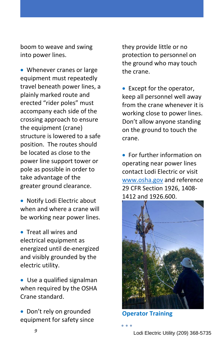boom to weave and swing into power lines.

• Whenever cranes or large equipment must repeatedly travel beneath power lines, a plainly marked route and erected "rider poles" must accompany each side of the crossing approach to ensure the equipment (crane) structure is lowered to a safe position. The routes should be located as close to the power line support tower or pole as possible in order to take advantage of the greater ground clearance.

 Notify Lodi Electric about when and where a crane will be working near power lines.

**• Treat all wires and** electrical equipment as energized until de-energized and visibly grounded by the electric utility.

 Use a qualified signalman when required by the OSHA Crane standard.

• Don't rely on grounded equipment for safety since they provide little or no protection to personnel on the ground who may touch the crane.

 Except for the operator, keep all personnel well away from the crane whenever it is working close to power lines. Don't allow anyone standing on the ground to touch the crane.

 For further information on operating near power lines contact Lodi Electric or visit [www.osha.gov](http://www.osha.gov/) and reference 29 CFR Section 1926, 1408- 1412 and 1926.600.



**Operator Training**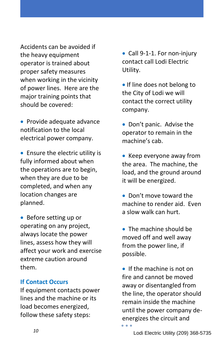Accidents can be avoided if the heavy equipment operator is trained about proper safety measures when working in the vicinity of power lines. Here are the major training points that should be covered:

• Provide adequate advance notification to the local electrical power company.

• Ensure the electric utility is fully informed about when the operations are to begin, when they are due to be completed, and when any location changes are planned.

• Before setting up or operating on any project, always locate the power lines, assess how they will affect your work and exercise extreme caution around them.

#### **If Contact Occurs**

If equipment contacts power lines and the machine or its load becomes energized, follow these safety steps:

• Call 9-1-1. For non-injury contact call Lodi Electric Utility.

**If line does not belong to** the City of Lodi we will contact the correct utility company.

• Don't panic. Advise the operator to remain in the machine's cab.

 $\bullet$  Keep everyone away from the area. The machine, the load, and the ground around it will be energized.

 Don't move toward the machine to render aid. Even a slow walk can hurt.

• The machine should be moved off and well away from the power line, if possible.

 $\bullet$  If the machine is not on fire and cannot be moved away or disentangled from the line, the operator should remain inside the machine until the power company deenergizes the circuit and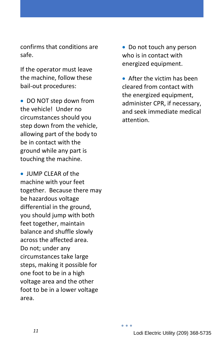confirms that conditions are safe.

If the operator must leave the machine, follow these bail-out procedures:

• DO NOT step down from the vehicle! Under no circumstances should you step down from the vehicle, allowing part of the body to be in contact with the ground while any part is touching the machine.

 JUMP CLEAR of the machine with your feet together. Because there may be hazardous voltage differential in the ground, you should jump with both feet together, maintain balance and shuffle slowly across the affected area. Do not; under any circumstances take large steps, making it possible for one foot to be in a high voltage area and the other foot to be in a lower voltage area.

• Do not touch any person who is in contact with energized equipment.

 After the victim has been cleared from contact with the energized equipment, administer CPR, if necessary, and seek immediate medical attention.